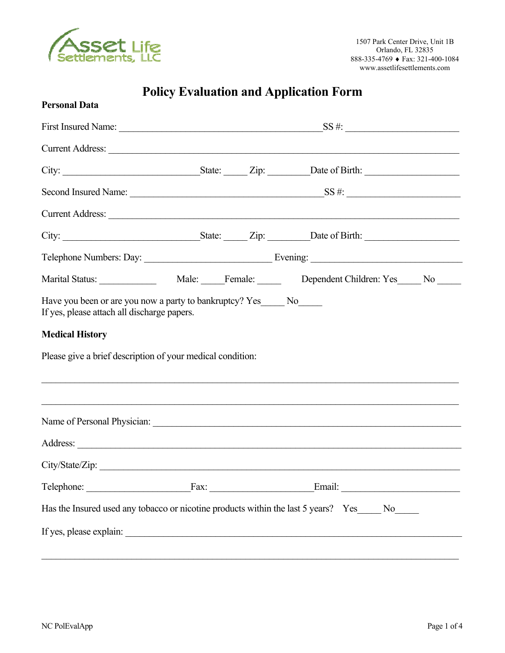

# **Policy Evaluation and Application Form**

| <b>Personal Data</b>                                                                 |  |                                                                                                                                                                       |  |
|--------------------------------------------------------------------------------------|--|-----------------------------------------------------------------------------------------------------------------------------------------------------------------------|--|
|                                                                                      |  |                                                                                                                                                                       |  |
|                                                                                      |  | Current Address: Note and Address and Address and Address and Address and Address and Address and Address and A                                                       |  |
|                                                                                      |  |                                                                                                                                                                       |  |
|                                                                                      |  |                                                                                                                                                                       |  |
|                                                                                      |  | Current Address:                                                                                                                                                      |  |
|                                                                                      |  |                                                                                                                                                                       |  |
|                                                                                      |  |                                                                                                                                                                       |  |
|                                                                                      |  |                                                                                                                                                                       |  |
| <b>Medical History</b><br>Please give a brief description of your medical condition: |  | ,我们也不能在这里的人,我们也不能在这里的人,我们也不能在这里的人,我们也不能在这里的人,我们也不能在这里的人,我们也不能在这里的人,我们也不能在这里的人,我们也<br>,我们也不能在这里的时候,我们也不能在这里的时候,我们也不能不能不能不能不能不能不能不能不能不能不能不能不能不能。""我们的是我们的,我们也不能不能不能不能不能 |  |
|                                                                                      |  |                                                                                                                                                                       |  |
|                                                                                      |  |                                                                                                                                                                       |  |
| City/State/Zip:                                                                      |  |                                                                                                                                                                       |  |
|                                                                                      |  | Telephone: Fax: Fax: Email: Email:                                                                                                                                    |  |
|                                                                                      |  | Has the Insured used any tobacco or nicotine products within the last 5 years? Yes_____ No_____                                                                       |  |
|                                                                                      |  |                                                                                                                                                                       |  |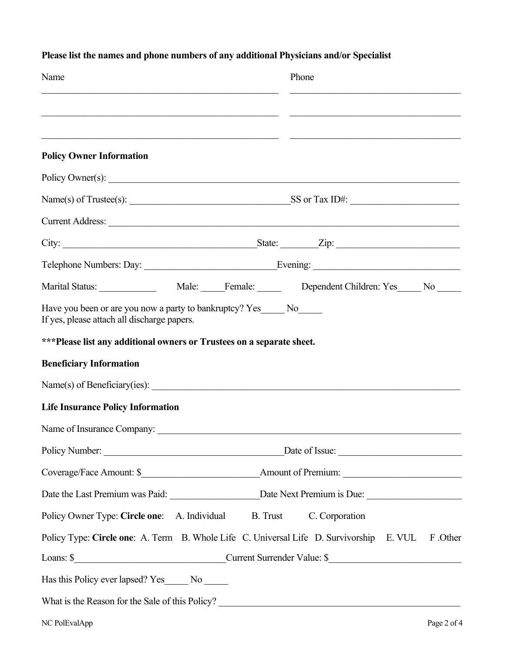| Name                                                                                                                  | Phone                                                                                                          |
|-----------------------------------------------------------------------------------------------------------------------|----------------------------------------------------------------------------------------------------------------|
|                                                                                                                       |                                                                                                                |
|                                                                                                                       |                                                                                                                |
| <b>Policy Owner Information</b>                                                                                       |                                                                                                                |
|                                                                                                                       | Policy Owner(s):                                                                                               |
|                                                                                                                       |                                                                                                                |
|                                                                                                                       | Current Address:                                                                                               |
|                                                                                                                       |                                                                                                                |
|                                                                                                                       |                                                                                                                |
|                                                                                                                       |                                                                                                                |
| Have you been or are you now a party to bankruptcy? Yes______ No______<br>If yes, please attach all discharge papers. |                                                                                                                |
| ***Please list any additional owners or Trustees on a separate sheet.                                                 |                                                                                                                |
| <b>Beneficiary Information</b>                                                                                        |                                                                                                                |
|                                                                                                                       |                                                                                                                |
| <b>Life Insurance Policy Information</b>                                                                              |                                                                                                                |
|                                                                                                                       |                                                                                                                |
|                                                                                                                       |                                                                                                                |
|                                                                                                                       |                                                                                                                |
|                                                                                                                       | Date the Last Premium was Paid: ________________________Date Next Premium is Due: ____________________________ |
| Policy Owner Type: Circle one: A. Individual B. Trust C. Corporation                                                  |                                                                                                                |
|                                                                                                                       | Policy Type: Circle one: A. Term B. Whole Life C. Universal Life D. Survivorship E. VUL F. Other               |
|                                                                                                                       | Loans: \$                                                                                                      |
| Has this Policy ever lapsed? Yes______ No ______                                                                      |                                                                                                                |
|                                                                                                                       | What is the Reason for the Sale of this Policy?                                                                |

## **Please list the names and phone numbers of any additional Physicians and/or Specialist**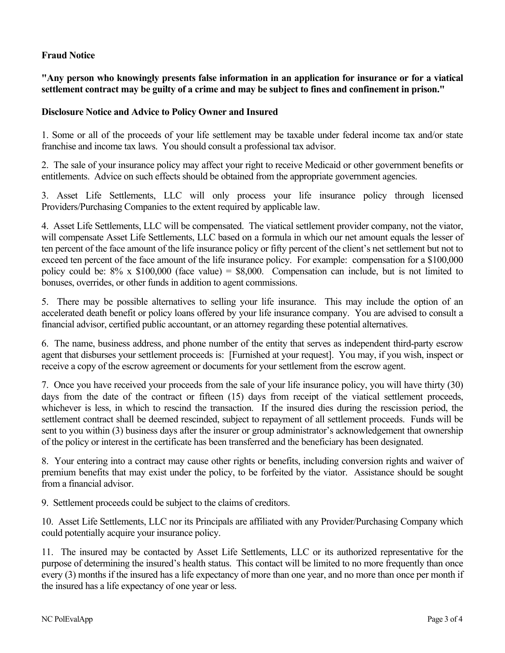## **Fraud Notice**

**"Any person who knowingly presents false information in an application for insurance or for a viatical settlement contract may be guilty of a crime and may be subject to fines and confinement in prison."** 

## **Disclosure Notice and Advice to Policy Owner and Insured**

1. Some or all of the proceeds of your life settlement may be taxable under federal income tax and/or state franchise and income tax laws. You should consult a professional tax advisor.

2. The sale of your insurance policy may affect your right to receive Medicaid or other government benefits or entitlements. Advice on such effects should be obtained from the appropriate government agencies.

3. Asset Life Settlements, LLC will only process your life insurance policy through licensed Providers/Purchasing Companies to the extent required by applicable law.

4. Asset Life Settlements, LLC will be compensated. The viatical settlement provider company, not the viator, will compensate Asset Life Settlements, LLC based on a formula in which our net amount equals the lesser of ten percent of the face amount of the life insurance policy or fifty percent of the client's net settlement but not to exceed ten percent of the face amount of the life insurance policy. For example: compensation for a \$100,000 policy could be:  $8\% \times \$100,000$  (face value) = \$8,000. Compensation can include, but is not limited to bonuses, overrides, or other funds in addition to agent commissions.

5. There may be possible alternatives to selling your life insurance. This may include the option of an accelerated death benefit or policy loans offered by your life insurance company. You are advised to consult a financial advisor, certified public accountant, or an attorney regarding these potential alternatives.

6. The name, business address, and phone number of the entity that serves as independent third-party escrow agent that disburses your settlement proceeds is: [Furnished at your request]. You may, if you wish, inspect or receive a copy of the escrow agreement or documents for your settlement from the escrow agent.

7. Once you have received your proceeds from the sale of your life insurance policy, you will have thirty (30) days from the date of the contract or fifteen (15) days from receipt of the viatical settlement proceeds, whichever is less, in which to rescind the transaction. If the insured dies during the rescission period, the settlement contract shall be deemed rescinded, subject to repayment of all settlement proceeds. Funds will be sent to you within (3) business days after the insurer or group administrator's acknowledgement that ownership of the policy or interest in the certificate has been transferred and the beneficiary has been designated.

8. Your entering into a contract may cause other rights or benefits, including conversion rights and waiver of premium benefits that may exist under the policy, to be forfeited by the viator. Assistance should be sought from a financial advisor.

9. Settlement proceeds could be subject to the claims of creditors.

10. Asset Life Settlements, LLC nor its Principals are affiliated with any Provider/Purchasing Company which could potentially acquire your insurance policy.

11. The insured may be contacted by Asset Life Settlements, LLC or its authorized representative for the purpose of determining the insured's health status. This contact will be limited to no more frequently than once every (3) months if the insured has a life expectancy of more than one year, and no more than once per month if the insured has a life expectancy of one year or less.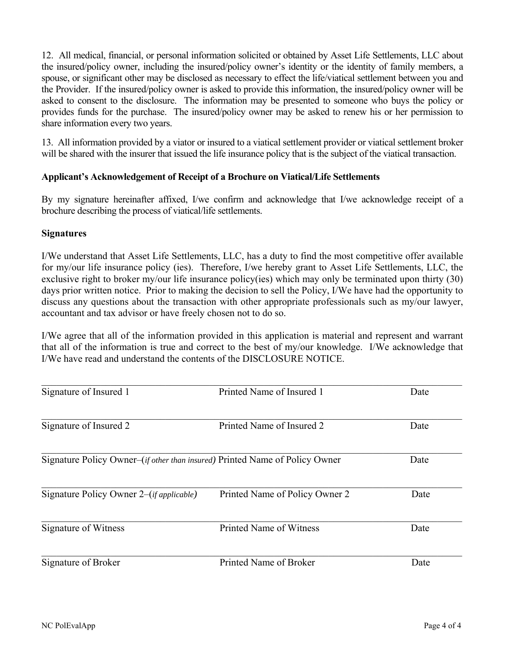12. All medical, financial, or personal information solicited or obtained by Asset Life Settlements, LLC about the insured/policy owner, including the insured/policy owner's identity or the identity of family members, a spouse, or significant other may be disclosed as necessary to effect the life/viatical settlement between you and the Provider. If the insured/policy owner is asked to provide this information, the insured/policy owner will be asked to consent to the disclosure. The information may be presented to someone who buys the policy or provides funds for the purchase. The insured/policy owner may be asked to renew his or her permission to share information every two years.

13. All information provided by a viator or insured to a viatical settlement provider or viatical settlement broker will be shared with the insurer that issued the life insurance policy that is the subject of the viatical transaction.

## **Applicant's Acknowledgement of Receipt of a Brochure on Viatical/Life Settlements**

By my signature hereinafter affixed, I/we confirm and acknowledge that I/we acknowledge receipt of a brochure describing the process of viatical/life settlements.

#### **Signatures**

I/We understand that Asset Life Settlements, LLC, has a duty to find the most competitive offer available for my/our life insurance policy (ies). Therefore, I/we hereby grant to Asset Life Settlements, LLC, the exclusive right to broker my/our life insurance policy(ies) which may only be terminated upon thirty (30) days prior written notice. Prior to making the decision to sell the Policy, I/We have had the opportunity to discuss any questions about the transaction with other appropriate professionals such as my/our lawyer, accountant and tax advisor or have freely chosen not to do so.

I/We agree that all of the information provided in this application is material and represent and warrant that all of the information is true and correct to the best of my/our knowledge. I/We acknowledge that I/We have read and understand the contents of the DISCLOSURE NOTICE.

| Signature of Insured 1                                                               | Printed Name of Insured 1      | Date |
|--------------------------------------------------------------------------------------|--------------------------------|------|
| Signature of Insured 2                                                               | Printed Name of Insured 2      | Date |
| Signature Policy Owner–( <i>if other than insured</i> ) Printed Name of Policy Owner | Date                           |      |
| Signature Policy Owner 2–( <i>if applicable</i> )                                    | Printed Name of Policy Owner 2 | Date |
| Signature of Witness                                                                 | Printed Name of Witness        | Date |
| Signature of Broker                                                                  | Printed Name of Broker         | Date |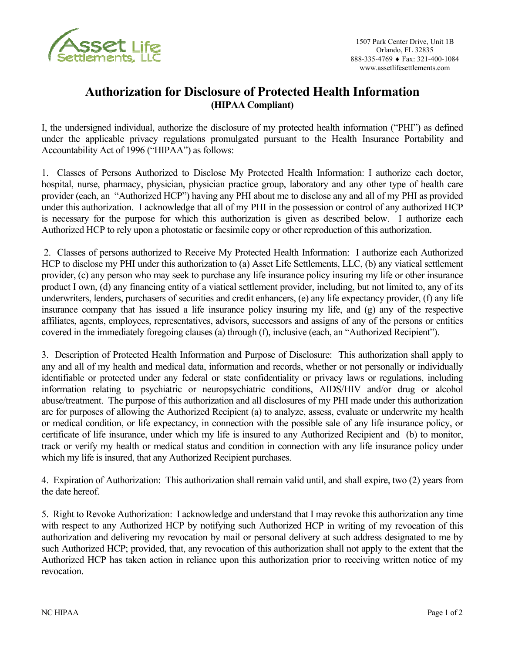

## **Authorization for Disclosure of Protected Health Information (HIPAA Compliant)**

I, the undersigned individual, authorize the disclosure of my protected health information ("PHI") as defined under the applicable privacy regulations promulgated pursuant to the Health Insurance Portability and Accountability Act of 1996 ("HIPAA") as follows:

1. Classes of Persons Authorized to Disclose My Protected Health Information: I authorize each doctor, hospital, nurse, pharmacy, physician, physician practice group, laboratory and any other type of health care provider (each, an "Authorized HCP") having any PHI about me to disclose any and all of my PHI as provided under this authorization. I acknowledge that all of my PHI in the possession or control of any authorized HCP is necessary for the purpose for which this authorization is given as described below. I authorize each Authorized HCP to rely upon a photostatic or facsimile copy or other reproduction of this authorization.

 2. Classes of persons authorized to Receive My Protected Health Information: I authorize each Authorized HCP to disclose my PHI under this authorization to (a) Asset Life Settlements, LLC, (b) any viatical settlement provider, (c) any person who may seek to purchase any life insurance policy insuring my life or other insurance product I own, (d) any financing entity of a viatical settlement provider, including, but not limited to, any of its underwriters, lenders, purchasers of securities and credit enhancers, (e) any life expectancy provider, (f) any life insurance company that has issued a life insurance policy insuring my life, and (g) any of the respective affiliates, agents, employees, representatives, advisors, successors and assigns of any of the persons or entities covered in the immediately foregoing clauses (a) through (f), inclusive (each, an "Authorized Recipient").

3. Description of Protected Health Information and Purpose of Disclosure: This authorization shall apply to any and all of my health and medical data, information and records, whether or not personally or individually identifiable or protected under any federal or state confidentiality or privacy laws or regulations, including information relating to psychiatric or neuropsychiatric conditions, AIDS/HIV and/or drug or alcohol abuse/treatment. The purpose of this authorization and all disclosures of my PHI made under this authorization are for purposes of allowing the Authorized Recipient (a) to analyze, assess, evaluate or underwrite my health or medical condition, or life expectancy, in connection with the possible sale of any life insurance policy, or certificate of life insurance, under which my life is insured to any Authorized Recipient and (b) to monitor, track or verify my health or medical status and condition in connection with any life insurance policy under which my life is insured, that any Authorized Recipient purchases.

4. Expiration of Authorization: This authorization shall remain valid until, and shall expire, two (2) years from the date hereof.

5. Right to Revoke Authorization: I acknowledge and understand that I may revoke this authorization any time with respect to any Authorized HCP by notifying such Authorized HCP in writing of my revocation of this authorization and delivering my revocation by mail or personal delivery at such address designated to me by such Authorized HCP; provided, that, any revocation of this authorization shall not apply to the extent that the Authorized HCP has taken action in reliance upon this authorization prior to receiving written notice of my revocation.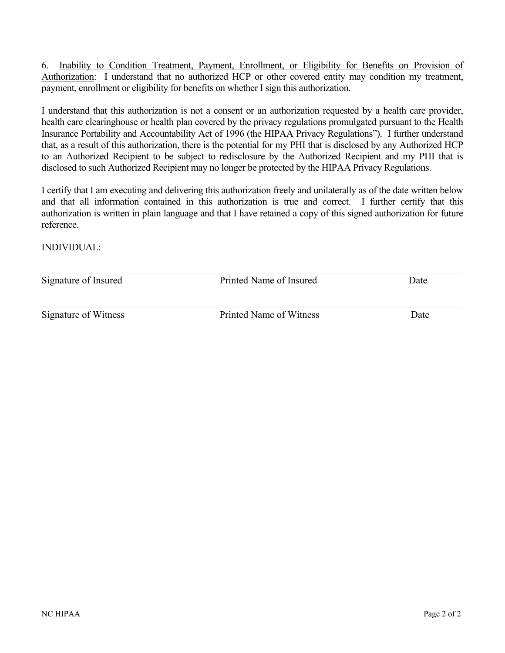6. Inability to Condition Treatment, Payment, Enrollment, or Eligibility for Benefits on Provision of Authorization: I understand that no authorized HCP or other covered entity may condition my treatment, payment, enrollment or eligibility for benefits on whether I sign this authorization.

I understand that this authorization is not a consent or an authorization requested by a health care provider, health care clearinghouse or health plan covered by the privacy regulations promulgated pursuant to the Health Insurance Portability and Accountability Act of 1996 (the HIPAA Privacy Regulations"). I further understand that, as a result of this authorization, there is the potential for my PHI that is disclosed by any Authorized HCP to an Authorized Recipient to be subject to redisclosure by the Authorized Recipient and my PHI that is disclosed to such Authorized Recipient may no longer be protected by the HIPAA Privacy Regulations.

I certify that I am executing and delivering this authorization freely and unilaterally as of the date written below and that all information contained in this authorization is true and correct. I further certify that this authorization is written in plain language and that I have retained a copy of this signed authorization for future reference.

INDIVIDUAL:

| Signature of Insured | Printed Name of Insured | Date |  |
|----------------------|-------------------------|------|--|
| Signature of Witness | Printed Name of Witness | Date |  |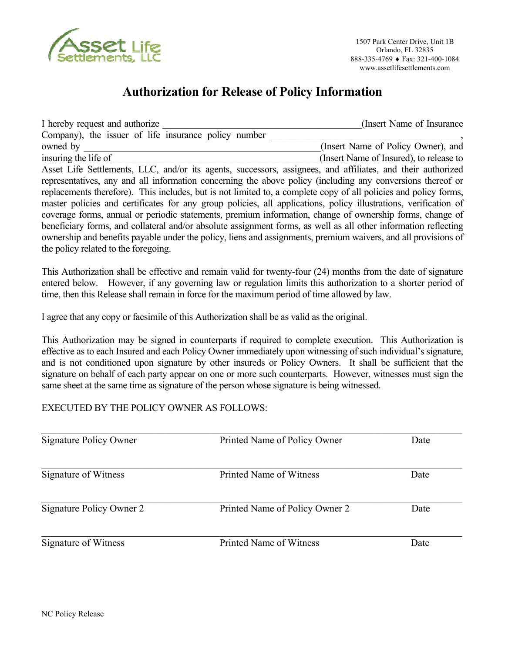

# **Authorization for Release of Policy Information**

I hereby request and authorize **I** hereby request and authorize **I** hereby request and authorize Company), the issuer of life insurance policy number owned by  $(Insert Name of Policy Owner)$ , and insuring the life of  $\Box$  (Insert Name of Insured), to release to Asset Life Settlements, LLC, and/or its agents, successors, assignees, and affiliates, and their authorized representatives, any and all information concerning the above policy (including any conversions thereof or replacements therefore). This includes, but is not limited to, a complete copy of all policies and policy forms, master policies and certificates for any group policies, all applications, policy illustrations, verification of coverage forms, annual or periodic statements, premium information, change of ownership forms, change of beneficiary forms, and collateral and/or absolute assignment forms, as well as all other information reflecting ownership and benefits payable under the policy, liens and assignments, premium waivers, and all provisions of the policy related to the foregoing.

This Authorization shall be effective and remain valid for twenty-four (24) months from the date of signature entered below. However, if any governing law or regulation limits this authorization to a shorter period of time, then this Release shall remain in force for the maximum period of time allowed by law.

I agree that any copy or facsimile of this Authorization shall be as valid as the original.

This Authorization may be signed in counterparts if required to complete execution. This Authorization is effective as to each Insured and each Policy Owner immediately upon witnessing of such individual's signature, and is not conditioned upon signature by other insureds or Policy Owners. It shall be sufficient that the signature on behalf of each party appear on one or more such counterparts. However, witnesses must sign the same sheet at the same time as signature of the person whose signature is being witnessed.

## EXECUTED BY THE POLICY OWNER AS FOLLOWS:

| Signature Policy Owner   | Printed Name of Policy Owner   | Date |
|--------------------------|--------------------------------|------|
| Signature of Witness     | Printed Name of Witness        | Date |
| Signature Policy Owner 2 | Printed Name of Policy Owner 2 | Date |
| Signature of Witness     | Printed Name of Witness        | Date |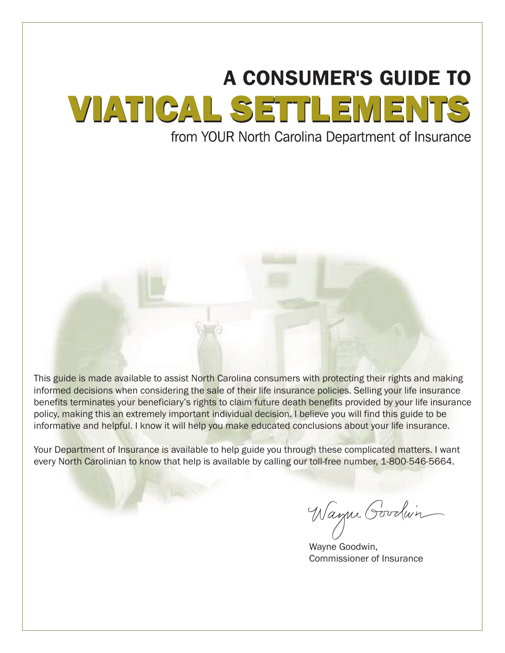# **A CONSUMER'S GUIDE TO** VIATICAL SETTLEMENTS VIATICAL SETTLEMENTS

This guide is made available to assist North Carolina consumers with protecting their rights and making informed decisions when considering the sale of their life insurance policies. Selling your life insurance benefits terminates your beneficiary's rights to claim future death benefits provided by your life insurance policy, making this an extremely important individual decision. I believe you will find this guide to be informative and helpful. I know it will help you make educated conclusions about your life insurance.

Your Department of Insurance is available to help guide you through these complicated matters. I want every North Carolinian to know that help is available by calling our toll-free number, 1-800-546-5664.

Wayne Goodwin

Wayne Goodwin, Commissioner of Insurance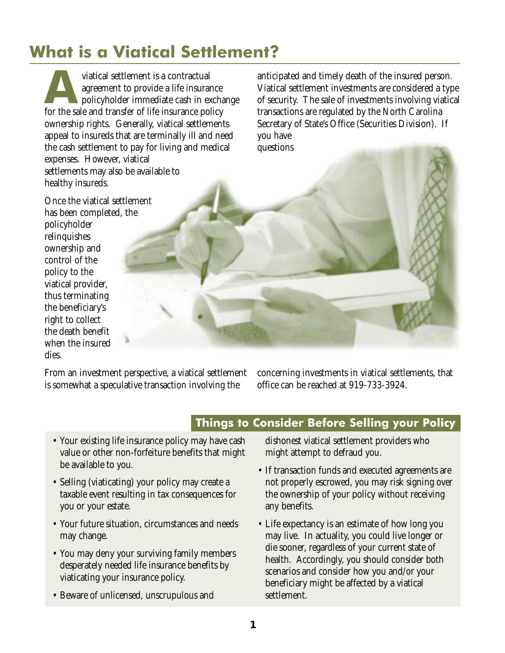# **What is a Viatical Settlement?**

viatical settlement is a contractual<br>
agreement to provide a life insurance<br>
policyholder immediate cash in exchange<br>
for the sale and transfer of life insurance policy agreement to provide a life insurance for the sale and transfer of life insurance policy ownership rights. Generally, viatical settlements appeal to insureds that are terminally ill and need the cash settlement to pay for living and medical expenses. However, viatical settlements may also be available to healthy insureds.

anticipated and timely death of the insured person. Viatical settlement investments are considered a type of security. The sale of investments involving viatical transactions are regulated by the North Carolina Secretary of State's Office (Securities Division). If you have questions

Once the viatical settlement has been completed, the policyholder relinquishes ownership and control of the policy to the viatical provider, thus terminating the beneficiary's right to collect the death benefit when the insured dies.

From an investment perspective, a viatical settlement is somewhat a speculative transaction involving the

concerning investments in viatical settlements, that office can be reached at 919-733-3924.

# **Things to Consider Before Selling your Policy**

- Your existing life insurance policy may have cash value or other non-forfeiture benefits that might be available to you.
- Selling (viaticating) your policy may create a taxable event resulting in tax consequences for you or your estate.
- Your future situation, circumstances and needs may change.
- You may deny your surviving family members desperately needed life insurance benefits by viaticating your insurance policy.
- Beware of unlicensed, unscrupulous and

dishonest viatical settlement providers who might attempt to defraud you.

- If transaction funds and executed agreements are not properly escrowed, you may risk signing over the ownership of your policy without receiving any benefits.
- Life expectancy is an estimate of how long you may live. In actuality, you could live longer or die sooner, regardless of your current state of health. Accordingly, you should consider both scenarios and consider how you and/or your beneficiary might be affected by a viatical settlement.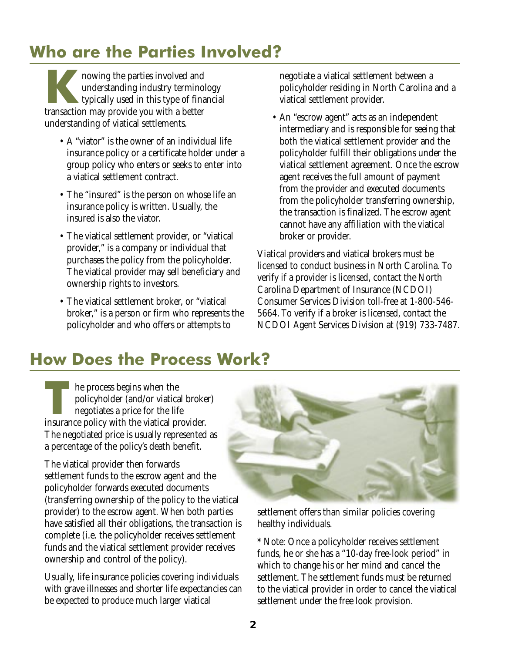# **Who are the Parties Involved?**

**K**nowing the parties involved and understanding industry terminology typically used in this type of financial transaction may provide you with a better understanding of viatical settlements.

- A "viator" is the owner of an individual life insurance policy or a certificate holder under a group policy who enters or seeks to enter into a viatical settlement contract.
- The "insured" is the person on whose life an insurance policy is written. Usually, the insured is also the viator.
- The viatical settlement provider, or "viatical provider," is a company or individual that purchases the policy from the policyholder. The viatical provider may sell beneficiary and ownership rights to investors.
- The viatical settlement broker, or "viatical broker," is a person or firm who represents the policyholder and who offers or attempts to

negotiate a viatical settlement between a policyholder residing in North Carolina and a viatical settlement provider.

• An "escrow agent" acts as an independent intermediary and is responsible for seeing that both the viatical settlement provider and the policyholder fulfill their obligations under the viatical settlement agreement. Once the escrow agent receives the full amount of payment from the provider and executed documents from the policyholder transferring ownership, the transaction is finalized. The escrow agent cannot have any affiliation with the viatical broker or provider.

Viatical providers and viatical brokers must be licensed to conduct business in North Carolina. To verify if a provider is licensed, contact the North Carolina Department of Insurance (NCDOI) Consumer Services Division toll-free at 1-800-546- 5664. To verify if a broker is licensed, contact the NCDOI Agent Services Division at (919) 733-7487.

# **How Does the Process Work?**

**THE PROCESS BEGINS WHEN THE PROCESS BEGINS WHEN THE PROCESS PROCESS ARE SET OF A PROPERTY OF A PROCESS AND THE PROCESS AND THE PROCESS AND THE PROCESS AND THE PROCESS AND THE PROCESS AND THE PROCESS AND THE PROCESS AND TH** policyholder (and/or viatical broker) negotiates a price for the life insurance policy with the viatical provider. The negotiated price is usually represented as a percentage of the policy's death benefit.

The viatical provider then forwards settlement funds to the escrow agent and the policyholder forwards executed documents (transferring ownership of the policy to the viatical provider) to the escrow agent. When both parties have satisfied all their obligations, the transaction is complete (i.e. the policyholder receives settlement funds and the viatical settlement provider receives ownership and control of the policy).

Usually, life insurance policies covering individuals with grave illnesses and shorter life expectancies can be expected to produce much larger viatical



settlement offers than similar policies covering healthy individuals.

\* Note: Once a policyholder receives settlement funds, he or she has a "10-day free-look period" in which to change his or her mind and cancel the settlement. The settlement funds must be returned to the viatical provider in order to cancel the viatical settlement under the free look provision.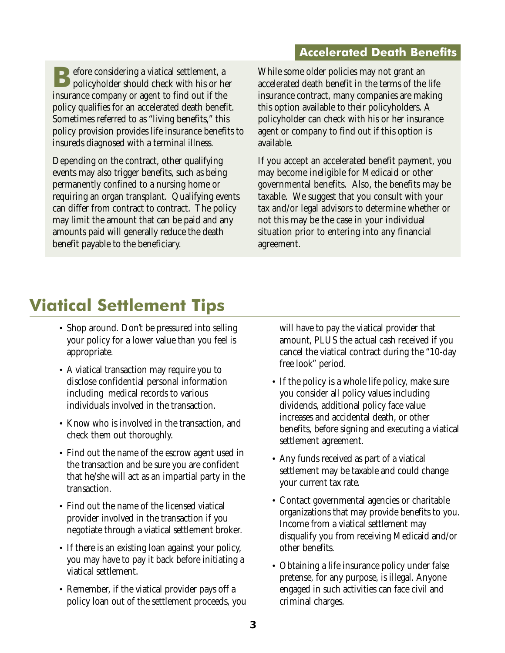## **Accelerated Death Benefits**

**B**efore considering a viatical settlement, a policyholder should check with his or her insurance company or agent to find out if the policy qualifies for an accelerated death benefit. Sometimes referred to as "living benefits," this policy provision provides life insurance benefits to insureds diagnosed with a terminal illness.

Depending on the contract, other qualifying events may also trigger benefits, such as being permanently confined to a nursing home or requiring an organ transplant. Qualifying events can differ from contract to contract. The policy may limit the amount that can be paid and any amounts paid will generally reduce the death benefit payable to the beneficiary.

While some older policies may not grant an accelerated death benefit in the terms of the life insurance contract, many companies are making this option available to their policyholders. A policyholder can check with his or her insurance agent or company to find out if this option is available.

If you accept an accelerated benefit payment, you may become ineligible for Medicaid or other governmental benefits. Also, the benefits may be taxable. We suggest that you consult with your tax and/or legal advisors to determine whether or not this may be the case in your individual situation prior to entering into any financial agreement.

# **Viatical Settlement Tips**

- Shop around. Don't be pressured into selling your policy for a lower value than you feel is appropriate.
- A viatical transaction may require you to disclose confidential personal information including medical records to various individuals involved in the transaction.
- Know who is involved in the transaction, and check them out thoroughly.
- Find out the name of the escrow agent used in the transaction and be sure you are confident that he/she will act as an impartial party in the transaction.
- Find out the name of the licensed viatical provider involved in the transaction if you negotiate through a viatical settlement broker.
- If there is an existing loan against your policy, you may have to pay it back before initiating a viatical settlement.
- Remember, if the viatical provider pays off a policy loan out of the settlement proceeds, you

will have to pay the viatical provider that amount, PLUS the actual cash received if you cancel the viatical contract during the "10-day free look" period.

- If the policy is a whole life policy, make sure you consider all policy values including dividends, additional policy face value increases and accidental death, or other benefits, before signing and executing a viatical settlement agreement.
- Any funds received as part of a viatical settlement may be taxable and could change your current tax rate.
- Contact governmental agencies or charitable organizations that may provide benefits to you. Income from a viatical settlement may disqualify you from receiving Medicaid and/or other benefits.
- Obtaining a life insurance policy under false pretense, for any purpose, is illegal. Anyone engaged in such activities can face civil and criminal charges.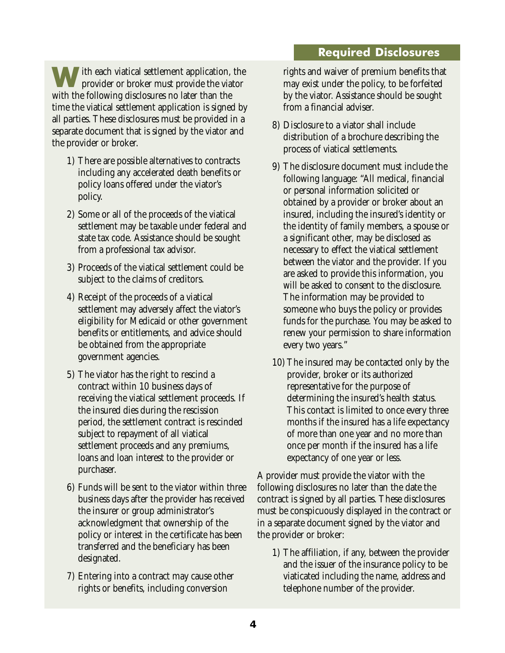## **Required Disclosures**

ith each viatical settlement application, the provider or broker must provide the viator with the following disclosures no later than the time the viatical settlement application is signed by all parties. These disclosures must be provided in a separate document that is signed by the viator and the provider or broker.

- 1) There are possible alternatives to contracts including any accelerated death benefits or policy loans offered under the viator's policy.
- 2) Some or all of the proceeds of the viatical settlement may be taxable under federal and state tax code. Assistance should be sought from a professional tax advisor.
- 3) Proceeds of the viatical settlement could be subject to the claims of creditors.
- 4) Receipt of the proceeds of a viatical settlement may adversely affect the viator's eligibility for Medicaid or other government benefits or entitlements, and advice should be obtained from the appropriate government agencies.
- 5) The viator has the right to rescind a contract within 10 business days of receiving the viatical settlement proceeds. If the insured dies during the rescission period, the settlement contract is rescinded subject to repayment of all viatical settlement proceeds and any premiums, loans and loan interest to the provider or purchaser.
- 6) Funds will be sent to the viator within three business days after the provider has received the insurer or group administrator's acknowledgment that ownership of the policy or interest in the certificate has been transferred and the beneficiary has been designated.
- 7) Entering into a contract may cause other rights or benefits, including conversion

rights and waiver of premium benefits that may exist under the policy, to be forfeited by the viator. Assistance should be sought from a financial adviser.

- 8) Disclosure to a viator shall include distribution of a brochure describing the process of viatical settlements.
- 9) The disclosure document must include the following language: "All medical, financial or personal information solicited or obtained by a provider or broker about an insured, including the insured's identity or the identity of family members, a spouse or a significant other, may be disclosed as necessary to effect the viatical settlement between the viator and the provider. If you are asked to provide this information, you will be asked to consent to the disclosure. The information may be provided to someone who buys the policy or provides funds for the purchase. You may be asked to renew your permission to share information every two years."
- 10) The insured may be contacted only by the provider, broker or its authorized representative for the purpose of determining the insured's health status. This contact is limited to once every three months if the insured has a life expectancy of more than one year and no more than once per month if the insured has a life expectancy of one year or less.

A provider must provide the viator with the following disclosures no later than the date the contract is signed by all parties. These disclosures must be conspicuously displayed in the contract or in a separate document signed by the viator and the provider or broker:

1) The affiliation, if any, between the provider and the issuer of the insurance policy to be viaticated including the name, address and telephone number of the provider.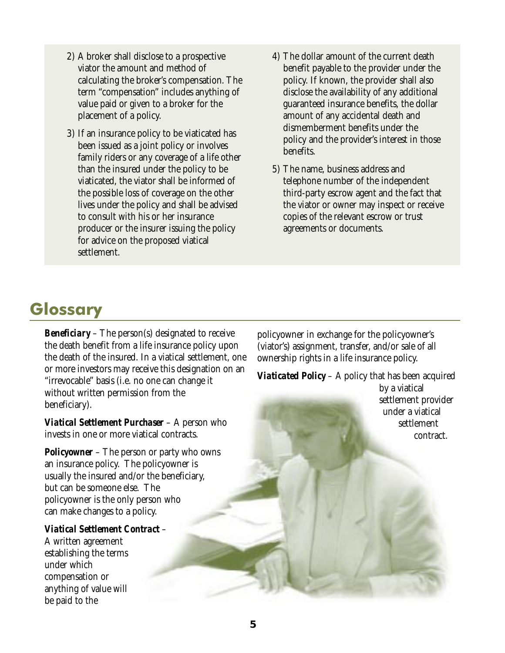- 2) A broker shall disclose to a prospective viator the amount and method of calculating the broker's compensation. The term "compensation" includes anything of value paid or given to a broker for the placement of a policy.
- 3) If an insurance policy to be viaticated has been issued as a joint policy or involves family riders or any coverage of a life other than the insured under the policy to be viaticated, the viator shall be informed of the possible loss of coverage on the other lives under the policy and shall be advised to consult with his or her insurance producer or the insurer issuing the policy for advice on the proposed viatical settlement.
- 4) The dollar amount of the current death benefit payable to the provider under the policy. If known, the provider shall also disclose the availability of any additional guaranteed insurance benefits, the dollar amount of any accidental death and dismemberment benefits under the policy and the provider's interest in those benefits.
- 5) The name, business address and telephone number of the independent third-party escrow agent and the fact that the viator or owner may inspect or receive copies of the relevant escrow or trust agreements or documents.

# **Glossary**

*Beneficiary* – The person(s) designated to receive the death benefit from a life insurance policy upon the death of the insured. In a viatical settlement, one or more investors may receive this designation on an "irrevocable" basis (i.e. no one can change it without written permission from the beneficiary).

*Viatical Settlement Purchaser* – A person who invests in one or more viatical contracts.

*Policyowner* – The person or party who owns an insurance policy. The policyowner is usually the insured and/or the beneficiary, but can be someone else. The policyowner is the only person who can make changes to a policy.

## *Viatical Settlement Contract* –

A written agreement establishing the terms under which compensation or anything of value will be paid to the

policyowner in exchange for the policyowner's (viator's) assignment, transfer, and/or sale of all ownership rights in a life insurance policy.

*Viaticated Policy* – A policy that has been acquired by a viatical

settlement provider under a viatical settlement contract.